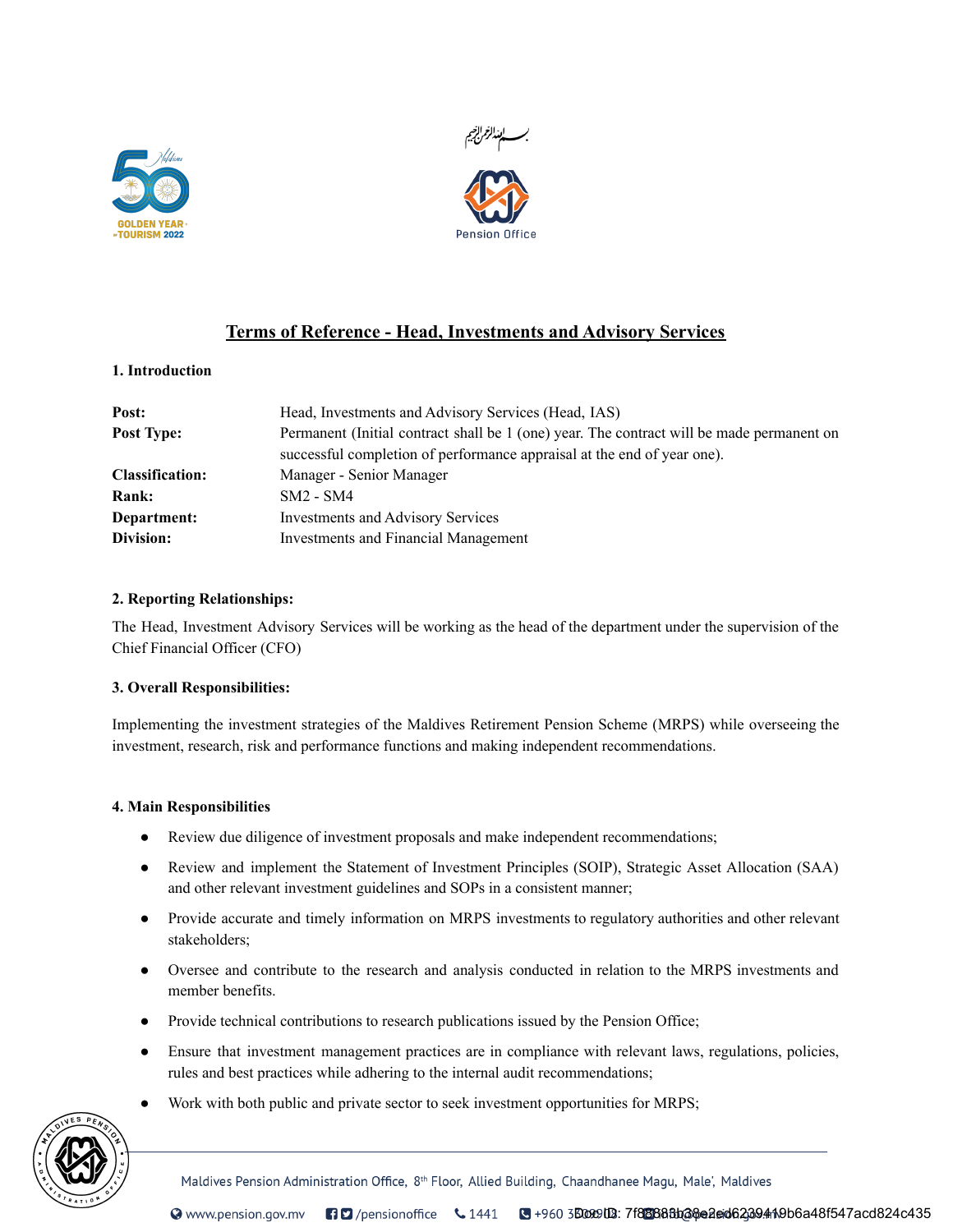



# Terms of Reference - Head, Investments and Advisory Services

## 1. Introduction

| Post:                  | Head, Investments and Advisory Services (Head, IAS)                                       |
|------------------------|-------------------------------------------------------------------------------------------|
| Post Type:             | Permanent (Initial contract shall be 1 (one) year. The contract will be made permanent on |
|                        | successful completion of performance appraisal at the end of year one).                   |
| <b>Classification:</b> | Manager - Senior Manager                                                                  |
| <b>Rank:</b>           | $SM2 - SM4$                                                                               |
| Department:            | <b>Investments and Advisory Services</b>                                                  |
| Division:              | <b>Investments and Financial Management</b>                                               |

# 2. Reporting Relationships:

The Head, Investment Advisory Services will be working as the head of the department under the supervision of the Chief Financial Officer (CFO)

#### 3. Overall Responsibilities:

Implementing the investment strategies of the Maldives Retirement Pension Scheme (MRPS) while overseeing the investment, research, risk and performance functions and making independent recommendations.

#### 4. Main Responsibilities

- Review due diligence of investment proposals and make independent recommendations;
- Review and implement the Statement of Investment Principles (SOIP), Strategic Asset Allocation (SAA) and other relevant investment guidelines and SOPs in a consistent manner;
- Provide accurate and timely information on MRPS investments to regulatory authorities and other relevant stakeholders;
- Oversee and contribute to the research and analysis conducted in relation to the MRPS investments and member benefits.
- Provide technical contributions to research publications issued by the Pension Office;
- Ensure that investment management practices are in compliance with relevant laws, regulations, policies, rules and best practices while adhering to the internal audit recommendations;
- Work with both public and private sector to seek investment opportunities for MRPS;



Maldives Pension Administration Office, 8th Floor, Allied Building, Chaandhanee Magu, Male', Maldives